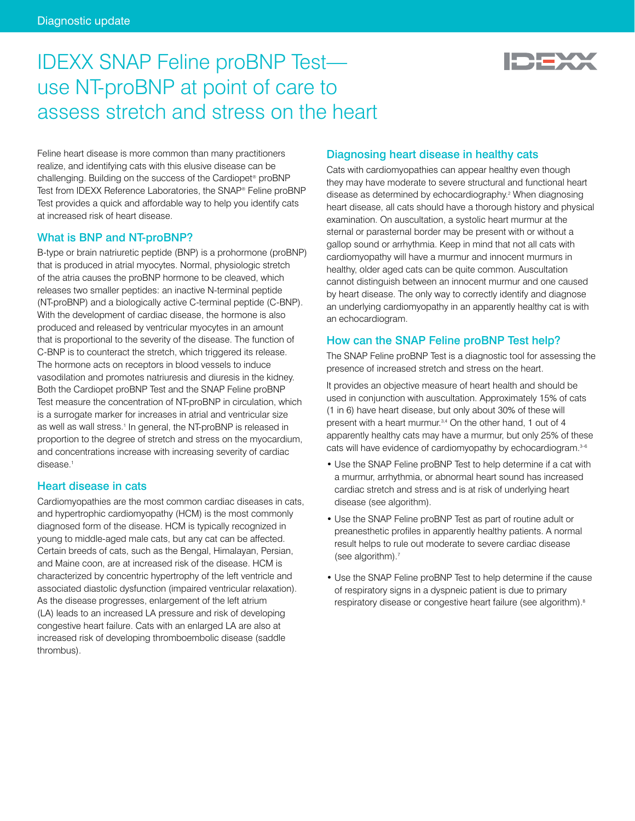

# IDEXX SNAP Feline proBNP Test use NT-proBNP at point of care to assess stretch and stress on the heart

Feline heart disease is more common than many practitioners realize, and identifying cats with this elusive disease can be challenging. Building on the success of the Cardiopet® proBNP Test from IDEXX Reference Laboratories, the SNAP® Feline proBNP Test provides a quick and affordable way to help you identify cats at increased risk of heart disease.

# What is BNP and NT-proBNP?

B-type or brain natriuretic peptide (BNP) is a prohormone (proBNP) that is produced in atrial myocytes. Normal, physiologic stretch of the atria causes the proBNP hormone to be cleaved, which releases two smaller peptides: an inactive N-terminal peptide (NT-proBNP) and a biologically active C-terminal peptide (C-BNP). With the development of cardiac disease, the hormone is also produced and released by ventricular myocytes in an amount that is proportional to the severity of the disease. The function of C-BNP is to counteract the stretch, which triggered its release. The hormone acts on receptors in blood vessels to induce vasodilation and promotes natriuresis and diuresis in the kidney. Both the Cardiopet proBNP Test and the SNAP Feline proBNP Test measure the concentration of NT-proBNP in circulation, which is a surrogate marker for increases in atrial and ventricular size as well as wall stress.<sup>1</sup> In general, the NT-proBNP is released in proportion to the degree of stretch and stress on the myocardium, and concentrations increase with increasing severity of cardiac disease.<sup>1</sup>

## Heart disease in cats

Cardiomyopathies are the most common cardiac diseases in cats, and hypertrophic cardiomyopathy (HCM) is the most commonly diagnosed form of the disease. HCM is typically recognized in young to middle-aged male cats, but any cat can be affected. Certain breeds of cats, such as the Bengal, Himalayan, Persian, and Maine coon, are at increased risk of the disease. HCM is characterized by concentric hypertrophy of the left ventricle and associated diastolic dysfunction (impaired ventricular relaxation). As the disease progresses, enlargement of the left atrium (LA) leads to an increased LA pressure and risk of developing congestive heart failure. Cats with an enlarged LA are also at increased risk of developing thromboembolic disease (saddle thrombus).

# Diagnosing heart disease in healthy cats

Cats with cardiomyopathies can appear healthy even though they may have moderate to severe structural and functional heart disease as determined by echocardiography.<sup>2</sup> When diagnosing heart disease, all cats should have a thorough history and physical examination. On auscultation, a systolic heart murmur at the sternal or parasternal border may be present with or without a gallop sound or arrhythmia. Keep in mind that not all cats with cardiomyopathy will have a murmur and innocent murmurs in healthy, older aged cats can be quite common. Auscultation cannot distinguish between an innocent murmur and one caused by heart disease. The only way to correctly identify and diagnose an underlying cardiomyopathy in an apparently healthy cat is with an echocardiogram.

# How can the SNAP Feline proBNP Test help?

The SNAP Feline proBNP Test is a diagnostic tool for assessing the presence of increased stretch and stress on the heart.

It provides an objective measure of heart health and should be used in conjunction with auscultation. Approximately 15% of cats (1 in 6) have heart disease, but only about 30% of these will present with a heart murmur.<sup>3,4</sup> On the other hand, 1 out of 4 apparently healthy cats may have a murmur, but only 25% of these cats will have evidence of cardiomyopathy by echocardiogram. 3-6

- Use the SNAP Feline proBNP Test to help determine if a cat with a murmur, arrhythmia, or abnormal heart sound has increased cardiac stretch and stress and is at risk of underlying heart disease (see algorithm).
- Use the SNAP Feline proBNP Test as part of routine adult or preanesthetic profiles in apparently healthy patients. A normal result helps to rule out moderate to severe cardiac disease (see algorithm).7
- Use the SNAP Feline proBNP Test to help determine if the cause of respiratory signs in a dyspneic patient is due to primary respiratory disease or congestive heart failure (see algorithm).<sup>8</sup>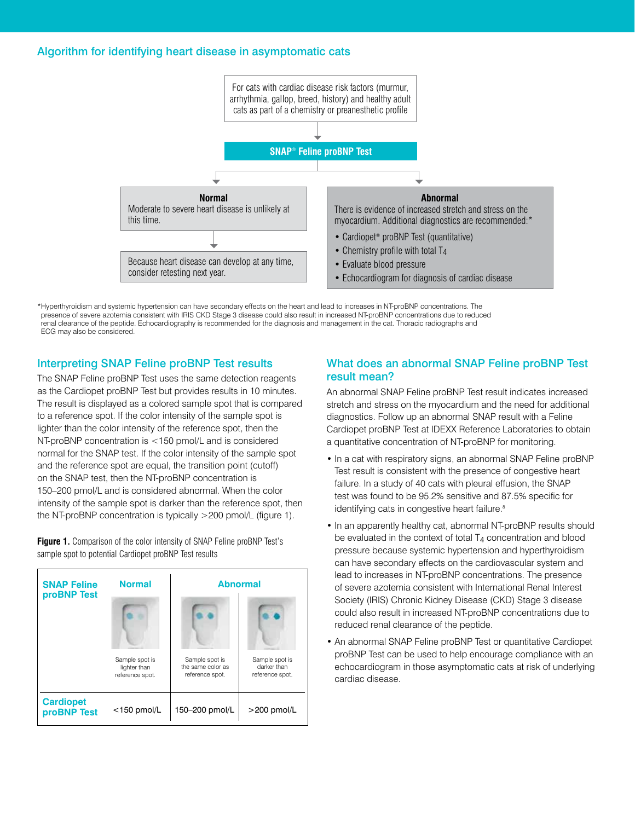## Algorithm for identifying heart disease in asymptomatic cats



\*Hyperthyroidism and systemic hypertension can have secondary effects on the heart and lead to increases in NT-proBNP concentrations. The presence of severe azotemia consistent with IRIS CKD Stage 3 disease could also result in increased NT-proBNP concentrations due to reduced renal clearance of the peptide. Echocardiography is recommended for the diagnosis and management in the cat. Thoracic radiographs and ECG may also be considered.

# Interpreting SNAP Feline proBNP Test results

The SNAP Feline proBNP Test uses the same detection reagents as the Cardiopet proBNP Test but provides results in 10 minutes. The result is displayed as a colored sample spot that is compared to a reference spot. If the color intensity of the sample spot is lighter than the color intensity of the reference spot, then the NT-proBNP concentration is <150 pmol/L and is considered normal for the SNAP test. If the color intensity of the sample spot and the reference spot are equal, the transition point (cutoff) on the SNAP test, then the NT-proBNP concentration is 150–200 pmol/L and is considered abnormal. When the color intensity of the sample spot is darker than the reference spot, then the NT-proBNP concentration is typically >200 pmol/L (figure 1).

**Figure 1.** Comparison of the color intensity of SNAP Feline proBNP Test's sample spot to potential Cardiopet proBNP Test results

| <b>SNAP Feline</b><br>proBNP Test | <b>Normal</b>                                     | <b>Abnormal</b>                                        |                                                  |
|-----------------------------------|---------------------------------------------------|--------------------------------------------------------|--------------------------------------------------|
|                                   |                                                   |                                                        |                                                  |
|                                   | Sample spot is<br>lighter than<br>reference spot. | Sample spot is<br>the same color as<br>reference spot. | Sample spot is<br>darker than<br>reference spot. |
| <b>Cardiopet</b><br>proBNP Test   | $<$ 150 pmol/L                                    | 150-200 pmol/L                                         | $>$ 200 pmol/L                                   |

# What does an abnormal SNAP Feline proBNP Test result mean?

An abnormal SNAP Feline proBNP Test result indicates increased stretch and stress on the myocardium and the need for additional diagnostics. Follow up an abnormal SNAP result with a Feline Cardiopet proBNP Test at IDEXX Reference Laboratories to obtain a quantitative concentration of NT-proBNP for monitoring.

- In a cat with respiratory signs, an abnormal SNAP Feline proBNP Test result is consistent with the presence of congestive heart failure. In a study of 40 cats with pleural effusion, the SNAP test was found to be 95.2% sensitive and 87.5% specific for identifying cats in congestive heart failure.<sup>8</sup>
- In an apparently healthy cat, abnormal NT-proBNP results should be evaluated in the context of total  $T_4$  concentration and blood pressure because systemic hypertension and hyperthyroidism can have secondary effects on the cardiovascular system and lead to increases in NT-proBNP concentrations. The presence of severe azotemia consistent with International Renal Interest Society (IRIS) Chronic Kidney Disease (CKD) Stage 3 disease could also result in increased NT-proBNP concentrations due to reduced renal clearance of the peptide.
- An abnormal SNAP Feline proBNP Test or quantitative Cardiopet proBNP Test can be used to help encourage compliance with an echocardiogram in those asymptomatic cats at risk of underlying cardiac disease.